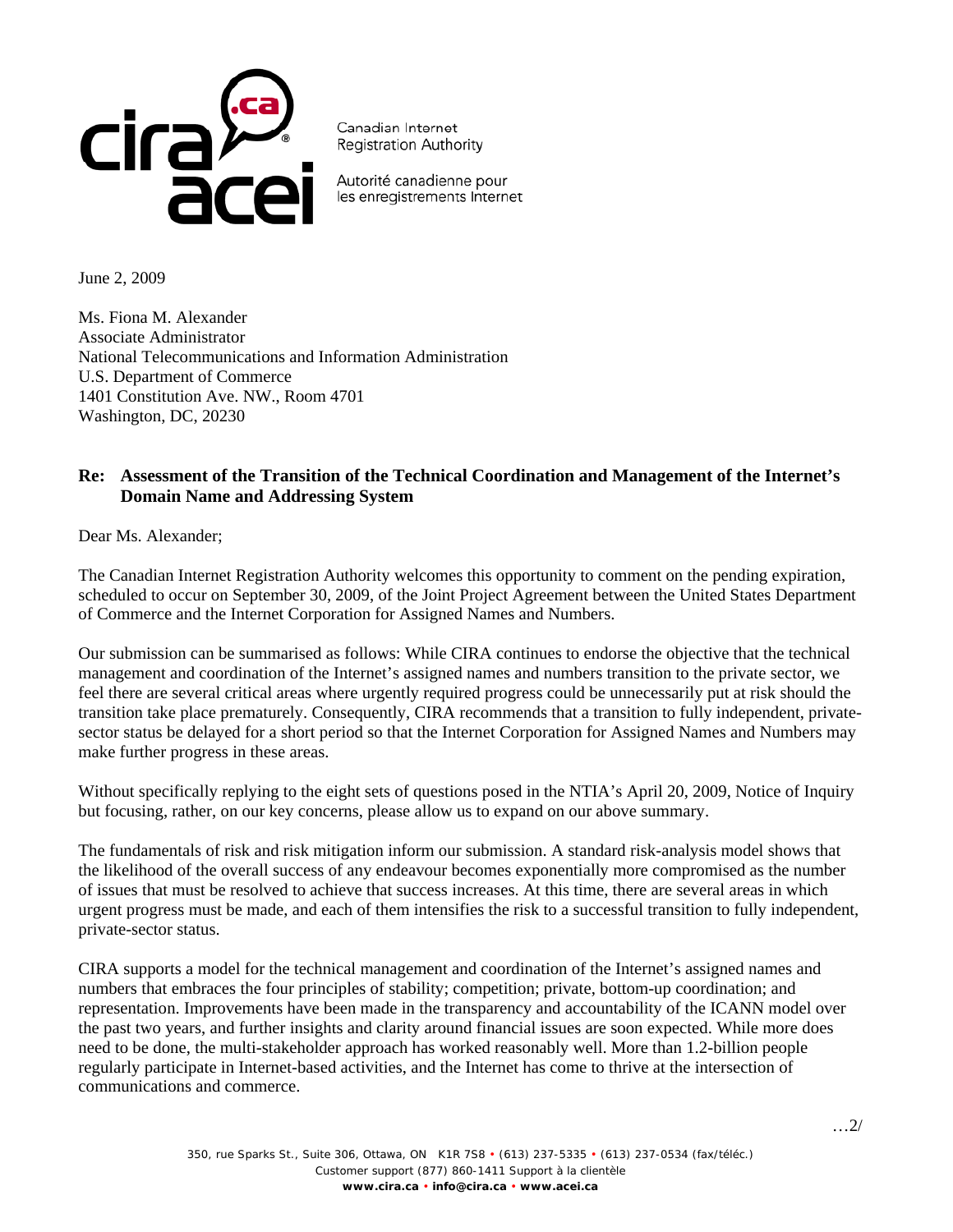

Canadian Internet **Registration Authority** 

Autorité canadienne pour les enregistrements Internet

June 2, 2009

Ms. Fiona M. Alexander Associate Administrator National Telecommunications and Information Administration U.S. Department of Commerce 1401 Constitution Ave. NW., Room 4701 Washington, DC, 20230

## **Re: Assessment of the Transition of the Technical Coordination and Management of the Internet's Domain Name and Addressing System**

Dear Ms. Alexander;

The Canadian Internet Registration Authority welcomes this opportunity to comment on the pending expiration, scheduled to occur on September 30, 2009, of the Joint Project Agreement between the United States Department of Commerce and the Internet Corporation for Assigned Names and Numbers.

Our submission can be summarised as follows: While CIRA continues to endorse the objective that the technical management and coordination of the Internet's assigned names and numbers transition to the private sector, we feel there are several critical areas where urgently required progress could be unnecessarily put at risk should the transition take place prematurely. Consequently, CIRA recommends that a transition to fully independent, privatesector status be delayed for a short period so that the Internet Corporation for Assigned Names and Numbers may make further progress in these areas.

Without specifically replying to the eight sets of questions posed in the NTIA's April 20, 2009, Notice of Inquiry but focusing, rather, on our key concerns, please allow us to expand on our above summary.

The fundamentals of risk and risk mitigation inform our submission. A standard risk-analysis model shows that the likelihood of the overall success of any endeavour becomes exponentially more compromised as the number of issues that must be resolved to achieve that success increases. At this time, there are several areas in which urgent progress must be made, and each of them intensifies the risk to a successful transition to fully independent, private-sector status.

CIRA supports a model for the technical management and coordination of the Internet's assigned names and numbers that embraces the four principles of stability; competition; private, bottom-up coordination; and representation. Improvements have been made in the transparency and accountability of the ICANN model over the past two years, and further insights and clarity around financial issues are soon expected. While more does need to be done, the multi-stakeholder approach has worked reasonably well. More than 1.2-billion people regularly participate in Internet-based activities, and the Internet has come to thrive at the intersection of communications and commerce.

…2/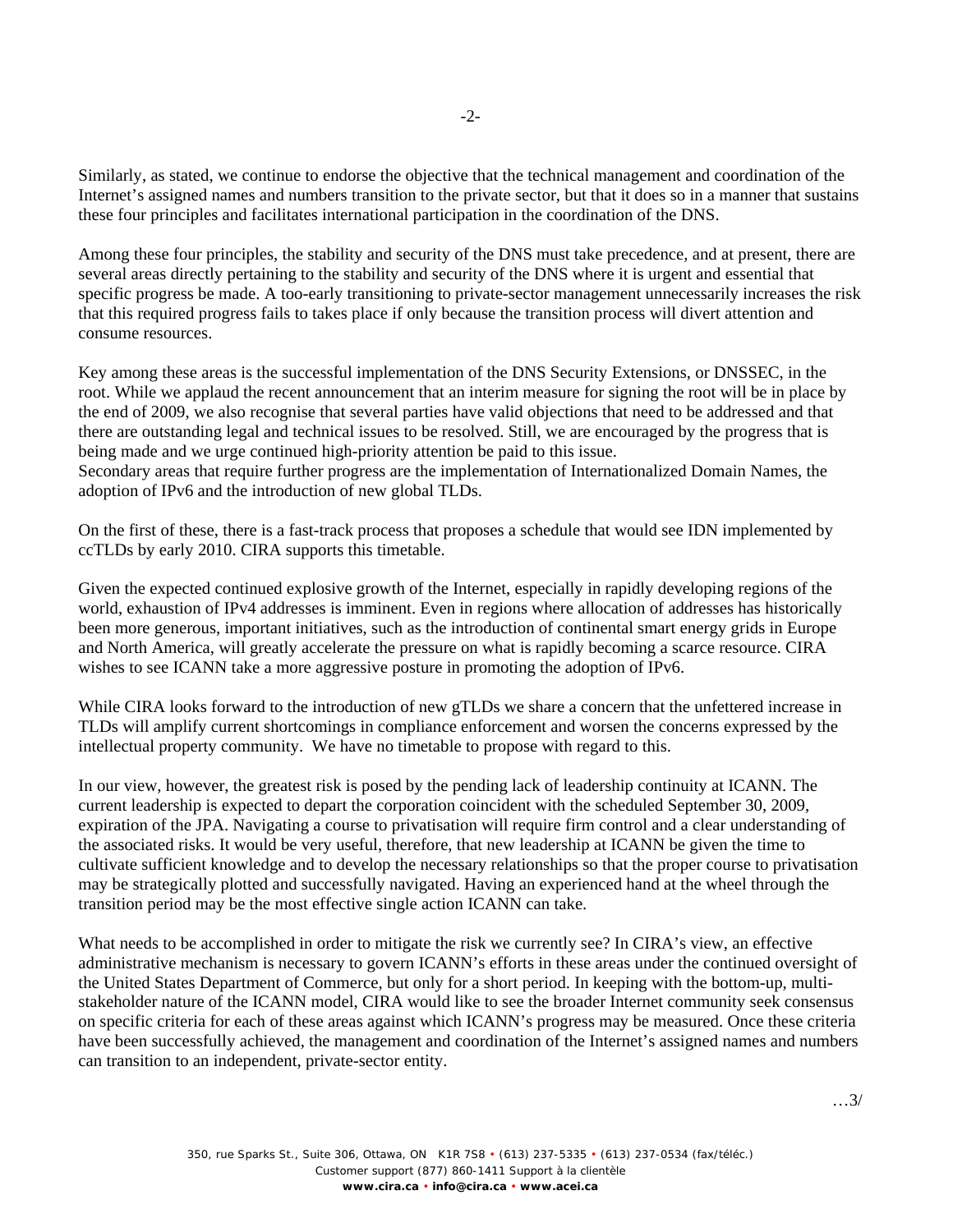Similarly, as stated, we continue to endorse the objective that the technical management and coordination of the Internet's assigned names and numbers transition to the private sector, but that it does so in a manner that sustains these four principles and facilitates international participation in the coordination of the DNS.

Among these four principles, the stability and security of the DNS must take precedence, and at present, there are several areas directly pertaining to the stability and security of the DNS where it is urgent and essential that specific progress be made. A too-early transitioning to private-sector management unnecessarily increases the risk that this required progress fails to takes place if only because the transition process will divert attention and consume resources.

Key among these areas is the successful implementation of the DNS Security Extensions, or DNSSEC, in the root. While we applaud the recent announcement that an interim measure for signing the root will be in place by the end of 2009, we also recognise that several parties have valid objections that need to be addressed and that there are outstanding legal and technical issues to be resolved. Still, we are encouraged by the progress that is being made and we urge continued high-priority attention be paid to this issue.

Secondary areas that require further progress are the implementation of Internationalized Domain Names, the adoption of IPv6 and the introduction of new global TLDs.

On the first of these, there is a fast-track process that proposes a schedule that would see IDN implemented by ccTLDs by early 2010. CIRA supports this timetable.

Given the expected continued explosive growth of the Internet, especially in rapidly developing regions of the world, exhaustion of IPv4 addresses is imminent. Even in regions where allocation of addresses has historically been more generous, important initiatives, such as the introduction of continental smart energy grids in Europe and North America, will greatly accelerate the pressure on what is rapidly becoming a scarce resource. CIRA wishes to see ICANN take a more aggressive posture in promoting the adoption of IPv6.

While CIRA looks forward to the introduction of new gTLDs we share a concern that the unfettered increase in TLDs will amplify current shortcomings in compliance enforcement and worsen the concerns expressed by the intellectual property community. We have no timetable to propose with regard to this.

In our view, however, the greatest risk is posed by the pending lack of leadership continuity at ICANN. The current leadership is expected to depart the corporation coincident with the scheduled September 30, 2009, expiration of the JPA. Navigating a course to privatisation will require firm control and a clear understanding of the associated risks. It would be very useful, therefore, that new leadership at ICANN be given the time to cultivate sufficient knowledge and to develop the necessary relationships so that the proper course to privatisation may be strategically plotted and successfully navigated. Having an experienced hand at the wheel through the transition period may be the most effective single action ICANN can take.

What needs to be accomplished in order to mitigate the risk we currently see? In CIRA's view, an effective administrative mechanism is necessary to govern ICANN's efforts in these areas under the continued oversight of the United States Department of Commerce, but only for a short period. In keeping with the bottom-up, multistakeholder nature of the ICANN model, CIRA would like to see the broader Internet community seek consensus on specific criteria for each of these areas against which ICANN's progress may be measured. Once these criteria have been successfully achieved, the management and coordination of the Internet's assigned names and numbers can transition to an independent, private-sector entity.